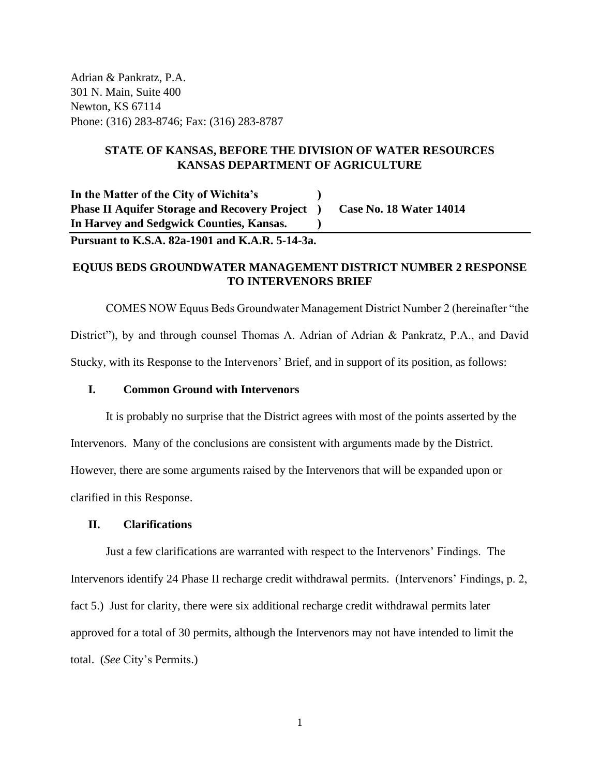Adrian & Pankratz, P.A. 301 N. Main, Suite 400 Newton, KS 67114 Phone: (316) 283-8746; Fax: (316) 283-8787

# **STATE OF KANSAS, BEFORE THE DIVISION OF WATER RESOURCES KANSAS DEPARTMENT OF AGRICULTURE**

**In the Matter of the City of Wichita's ) Phase II Aquifer Storage and Recovery Project ) Case No. 18 Water 14014 In Harvey and Sedgwick Counties, Kansas. )**

**Pursuant to K.S.A. 82a-1901 and K.A.R. 5-14-3a.**

# **EQUUS BEDS GROUNDWATER MANAGEMENT DISTRICT NUMBER 2 RESPONSE TO INTERVENORS BRIEF**

COMES NOW Equus Beds Groundwater Management District Number 2 (hereinafter "the District"), by and through counsel Thomas A. Adrian of Adrian & Pankratz, P.A., and David Stucky, with its Response to the Intervenors' Brief, and in support of its position, as follows:

# **I. Common Ground with Intervenors**

It is probably no surprise that the District agrees with most of the points asserted by the Intervenors. Many of the conclusions are consistent with arguments made by the District. However, there are some arguments raised by the Intervenors that will be expanded upon or clarified in this Response.

# **II. Clarifications**

Just a few clarifications are warranted with respect to the Intervenors' Findings. The Intervenors identify 24 Phase II recharge credit withdrawal permits. (Intervenors' Findings, p. 2, fact 5.) Just for clarity, there were six additional recharge credit withdrawal permits later approved for a total of 30 permits, although the Intervenors may not have intended to limit the total. (*See* City's Permits.)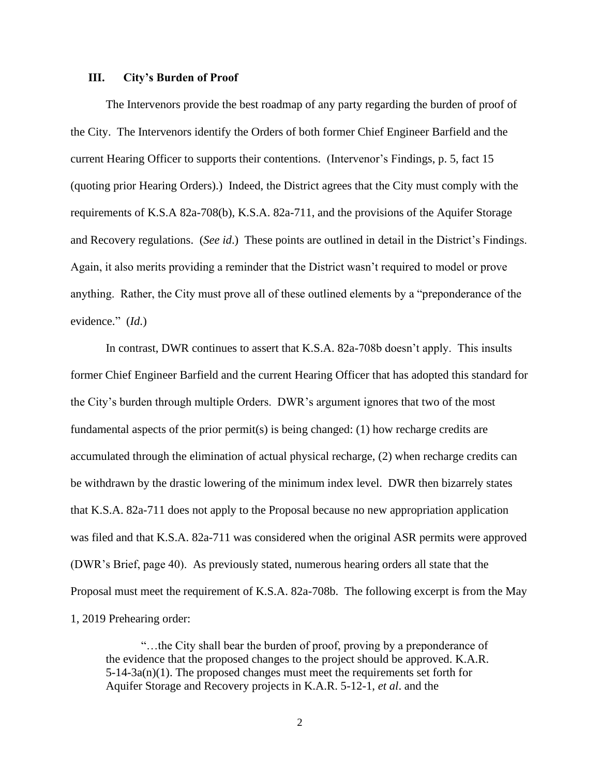### **III. City's Burden of Proof**

The Intervenors provide the best roadmap of any party regarding the burden of proof of the City. The Intervenors identify the Orders of both former Chief Engineer Barfield and the current Hearing Officer to supports their contentions. (Intervenor's Findings, p. 5, fact 15 (quoting prior Hearing Orders).) Indeed, the District agrees that the City must comply with the requirements of K.S.A 82a-708(b), K.S.A. 82a-711, and the provisions of the Aquifer Storage and Recovery regulations. (*See id*.) These points are outlined in detail in the District's Findings. Again, it also merits providing a reminder that the District wasn't required to model or prove anything. Rather, the City must prove all of these outlined elements by a "preponderance of the evidence." (*Id*.)

In contrast, DWR continues to assert that K.S.A. 82a-708b doesn't apply. This insults former Chief Engineer Barfield and the current Hearing Officer that has adopted this standard for the City's burden through multiple Orders. DWR's argument ignores that two of the most fundamental aspects of the prior permit(s) is being changed: (1) how recharge credits are accumulated through the elimination of actual physical recharge, (2) when recharge credits can be withdrawn by the drastic lowering of the minimum index level. DWR then bizarrely states that K.S.A. 82a-711 does not apply to the Proposal because no new appropriation application was filed and that K.S.A. 82a-711 was considered when the original ASR permits were approved (DWR's Brief, page 40). As previously stated, numerous hearing orders all state that the Proposal must meet the requirement of K.S.A. 82a-708b. The following excerpt is from the May 1, 2019 Prehearing order:

"…the City shall bear the burden of proof, proving by a preponderance of the evidence that the proposed changes to the project should be approved. K.A.R.  $5-14-3a(n)(1)$ . The proposed changes must meet the requirements set forth for Aquifer Storage and Recovery projects in K.A.R. 5-12-1, *et al*. and the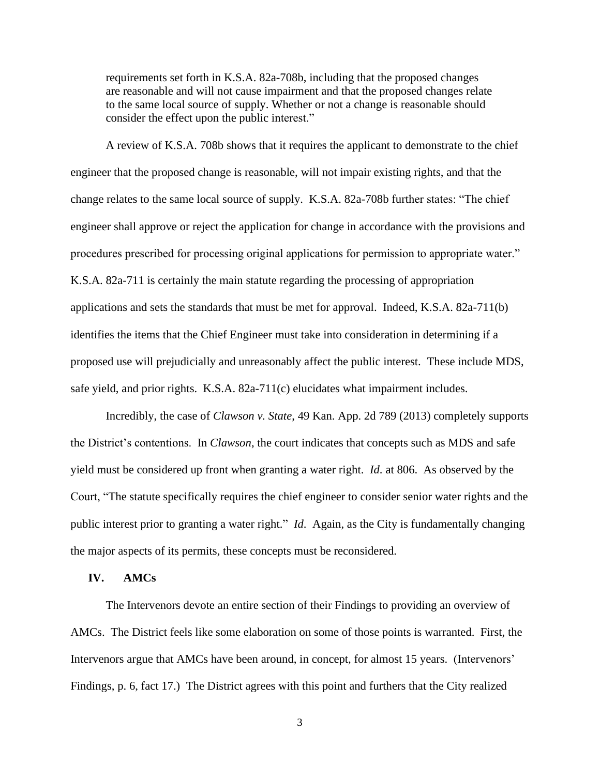requirements set forth in K.S.A. 82a-708b, including that the proposed changes are reasonable and will not cause impairment and that the proposed changes relate to the same local source of supply. Whether or not a change is reasonable should consider the effect upon the public interest."

A review of K.S.A. 708b shows that it requires the applicant to demonstrate to the chief engineer that the proposed change is reasonable, will not impair existing rights, and that the change relates to the same local source of supply. K.S.A. 82a-708b further states: "The chief engineer shall approve or reject the application for change in accordance with the provisions and procedures prescribed for processing original applications for permission to appropriate water." K.S.A. 82a-711 is certainly the main statute regarding the processing of appropriation applications and sets the standards that must be met for approval. Indeed, K.S.A. 82a-711(b) identifies the items that the Chief Engineer must take into consideration in determining if a proposed use will prejudicially and unreasonably affect the public interest. These include MDS, safe yield, and prior rights. K.S.A. 82a-711(c) elucidates what impairment includes.

Incredibly, the case of *Clawson v. State*, 49 Kan. App. 2d 789 (2013) completely supports the District's contentions. In *Clawson*, the court indicates that concepts such as MDS and safe yield must be considered up front when granting a water right. *Id*. at 806. As observed by the Court, "The statute specifically requires the chief engineer to consider senior water rights and the public interest prior to granting a water right." *Id*. Again, as the City is fundamentally changing the major aspects of its permits, these concepts must be reconsidered.

# **IV. AMCs**

The Intervenors devote an entire section of their Findings to providing an overview of AMCs. The District feels like some elaboration on some of those points is warranted. First, the Intervenors argue that AMCs have been around, in concept, for almost 15 years. (Intervenors' Findings, p. 6, fact 17.) The District agrees with this point and furthers that the City realized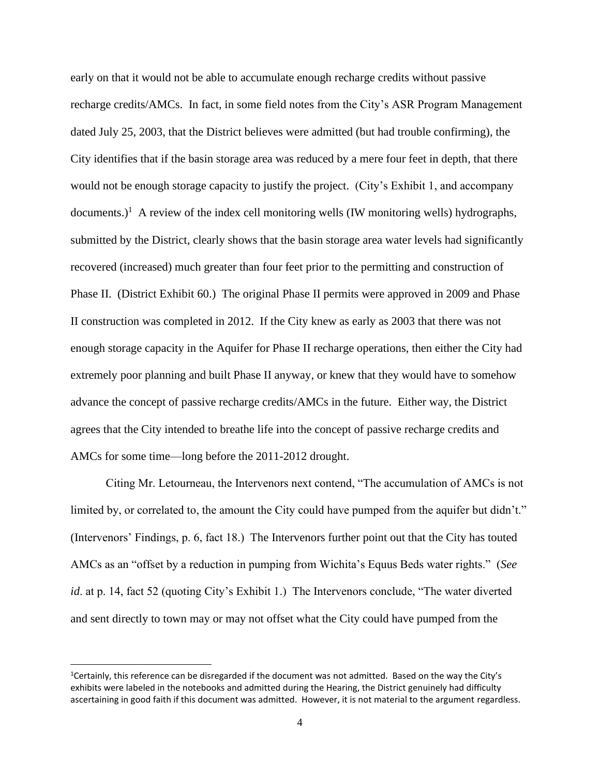early on that it would not be able to accumulate enough recharge credits without passive recharge credits/AMCs. In fact, in some field notes from the City's ASR Program Management dated July 25, 2003, that the District believes were admitted (but had trouble confirming), the City identifies that if the basin storage area was reduced by a mere four feet in depth, that there would not be enough storage capacity to justify the project. (City's Exhibit 1, and accompany documents.)<sup>1</sup> A review of the index cell monitoring wells (IW monitoring wells) hydrographs, submitted by the District, clearly shows that the basin storage area water levels had significantly recovered (increased) much greater than four feet prior to the permitting and construction of Phase II. (District Exhibit 60.) The original Phase II permits were approved in 2009 and Phase II construction was completed in 2012. If the City knew as early as 2003 that there was not enough storage capacity in the Aquifer for Phase II recharge operations, then either the City had extremely poor planning and built Phase II anyway, or knew that they would have to somehow advance the concept of passive recharge credits/AMCs in the future. Either way, the District agrees that the City intended to breathe life into the concept of passive recharge credits and AMCs for some time—long before the 2011-2012 drought.

Citing Mr. Letourneau, the Intervenors next contend, "The accumulation of AMCs is not limited by, or correlated to, the amount the City could have pumped from the aquifer but didn't." (Intervenors' Findings, p. 6, fact 18.) The Intervenors further point out that the City has touted AMCs as an "offset by a reduction in pumping from Wichita's Equus Beds water rights." (*See id.* at p. 14, fact 52 (quoting City's Exhibit 1.) The Intervenors conclude, "The water diverted and sent directly to town may or may not offset what the City could have pumped from the

<sup>&</sup>lt;sup>1</sup>Certainly, this reference can be disregarded if the document was not admitted. Based on the way the City's exhibits were labeled in the notebooks and admitted during the Hearing, the District genuinely had difficulty ascertaining in good faith if this document was admitted. However, it is not material to the argument regardless.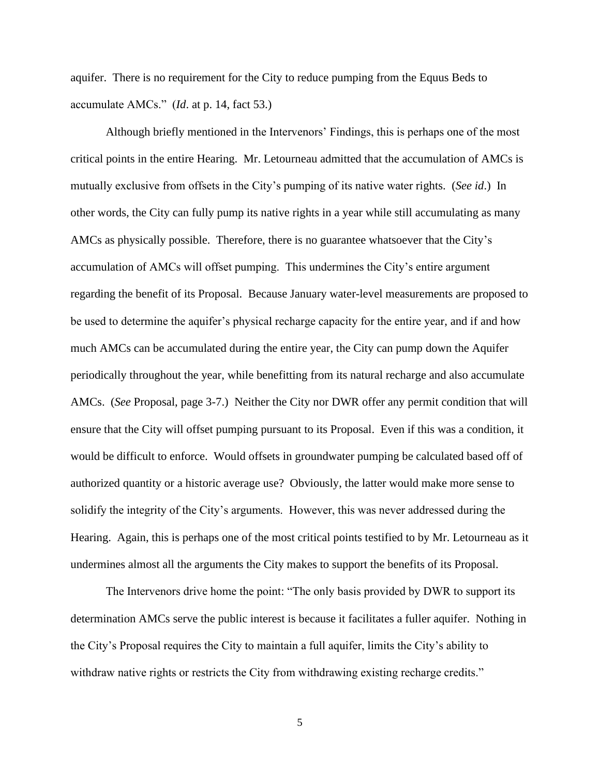aquifer. There is no requirement for the City to reduce pumping from the Equus Beds to accumulate AMCs." (*Id*. at p. 14, fact 53.)

Although briefly mentioned in the Intervenors' Findings, this is perhaps one of the most critical points in the entire Hearing. Mr. Letourneau admitted that the accumulation of AMCs is mutually exclusive from offsets in the City's pumping of its native water rights. (*See id*.) In other words, the City can fully pump its native rights in a year while still accumulating as many AMCs as physically possible. Therefore, there is no guarantee whatsoever that the City's accumulation of AMCs will offset pumping. This undermines the City's entire argument regarding the benefit of its Proposal. Because January water-level measurements are proposed to be used to determine the aquifer's physical recharge capacity for the entire year, and if and how much AMCs can be accumulated during the entire year, the City can pump down the Aquifer periodically throughout the year, while benefitting from its natural recharge and also accumulate AMCs. (*See* Proposal, page 3-7.) Neither the City nor DWR offer any permit condition that will ensure that the City will offset pumping pursuant to its Proposal. Even if this was a condition, it would be difficult to enforce. Would offsets in groundwater pumping be calculated based off of authorized quantity or a historic average use? Obviously, the latter would make more sense to solidify the integrity of the City's arguments. However, this was never addressed during the Hearing. Again, this is perhaps one of the most critical points testified to by Mr. Letourneau as it undermines almost all the arguments the City makes to support the benefits of its Proposal.

The Intervenors drive home the point: "The only basis provided by DWR to support its determination AMCs serve the public interest is because it facilitates a fuller aquifer. Nothing in the City's Proposal requires the City to maintain a full aquifer, limits the City's ability to withdraw native rights or restricts the City from withdrawing existing recharge credits."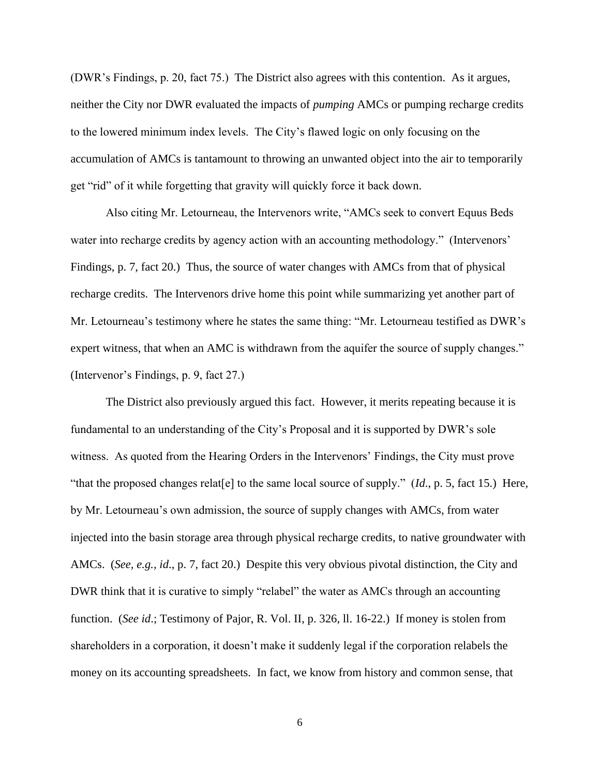(DWR's Findings, p. 20, fact 75.) The District also agrees with this contention. As it argues, neither the City nor DWR evaluated the impacts of *pumping* AMCs or pumping recharge credits to the lowered minimum index levels. The City's flawed logic on only focusing on the accumulation of AMCs is tantamount to throwing an unwanted object into the air to temporarily get "rid" of it while forgetting that gravity will quickly force it back down.

Also citing Mr. Letourneau, the Intervenors write, "AMCs seek to convert Equus Beds water into recharge credits by agency action with an accounting methodology." (Intervenors' Findings, p. 7, fact 20.) Thus, the source of water changes with AMCs from that of physical recharge credits. The Intervenors drive home this point while summarizing yet another part of Mr. Letourneau's testimony where he states the same thing: "Mr. Letourneau testified as DWR's expert witness, that when an AMC is withdrawn from the aquifer the source of supply changes." (Intervenor's Findings, p. 9, fact 27.)

The District also previously argued this fact. However, it merits repeating because it is fundamental to an understanding of the City's Proposal and it is supported by DWR's sole witness. As quoted from the Hearing Orders in the Intervenors' Findings, the City must prove "that the proposed changes relat[e] to the same local source of supply." (*Id*., p. 5, fact 15.) Here, by Mr. Letourneau's own admission, the source of supply changes with AMCs, from water injected into the basin storage area through physical recharge credits, to native groundwater with AMCs. (*See, e.g., id*., p. 7, fact 20.) Despite this very obvious pivotal distinction, the City and DWR think that it is curative to simply "relabel" the water as AMCs through an accounting function. (*See id*.; Testimony of Pajor, R. Vol. II, p. 326, ll. 16-22.) If money is stolen from shareholders in a corporation, it doesn't make it suddenly legal if the corporation relabels the money on its accounting spreadsheets. In fact, we know from history and common sense, that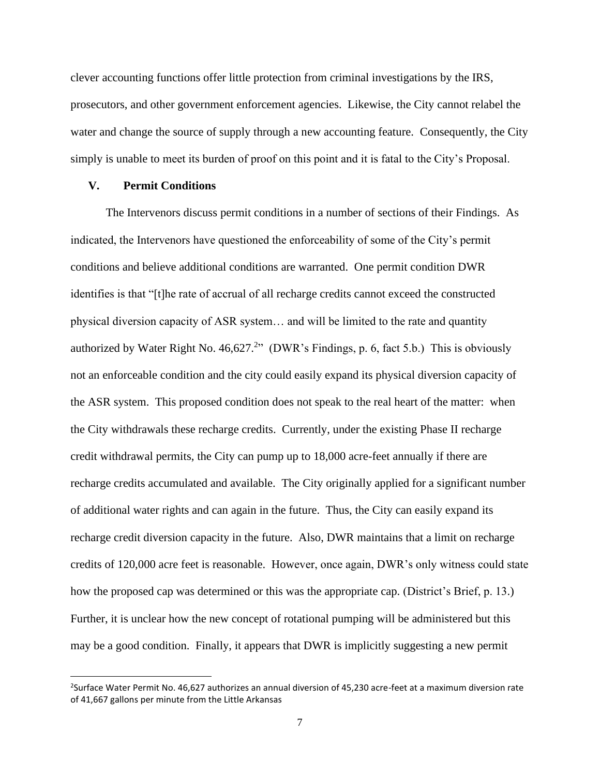clever accounting functions offer little protection from criminal investigations by the IRS, prosecutors, and other government enforcement agencies. Likewise, the City cannot relabel the water and change the source of supply through a new accounting feature. Consequently, the City simply is unable to meet its burden of proof on this point and it is fatal to the City's Proposal.

### **V. Permit Conditions**

The Intervenors discuss permit conditions in a number of sections of their Findings. As indicated, the Intervenors have questioned the enforceability of some of the City's permit conditions and believe additional conditions are warranted. One permit condition DWR identifies is that "[t]he rate of accrual of all recharge credits cannot exceed the constructed physical diversion capacity of ASR system… and will be limited to the rate and quantity authorized by Water Right No.  $46,627.^2$ " (DWR's Findings, p. 6, fact 5.b.) This is obviously not an enforceable condition and the city could easily expand its physical diversion capacity of the ASR system. This proposed condition does not speak to the real heart of the matter: when the City withdrawals these recharge credits. Currently, under the existing Phase II recharge credit withdrawal permits, the City can pump up to 18,000 acre-feet annually if there are recharge credits accumulated and available. The City originally applied for a significant number of additional water rights and can again in the future. Thus, the City can easily expand its recharge credit diversion capacity in the future. Also, DWR maintains that a limit on recharge credits of 120,000 acre feet is reasonable. However, once again, DWR's only witness could state how the proposed cap was determined or this was the appropriate cap. (District's Brief, p. 13.) Further, it is unclear how the new concept of rotational pumping will be administered but this may be a good condition. Finally, it appears that DWR is implicitly suggesting a new permit

<sup>&</sup>lt;sup>2</sup>Surface Water Permit No. 46,627 authorizes an annual diversion of 45,230 acre-feet at a maximum diversion rate of 41,667 gallons per minute from the Little Arkansas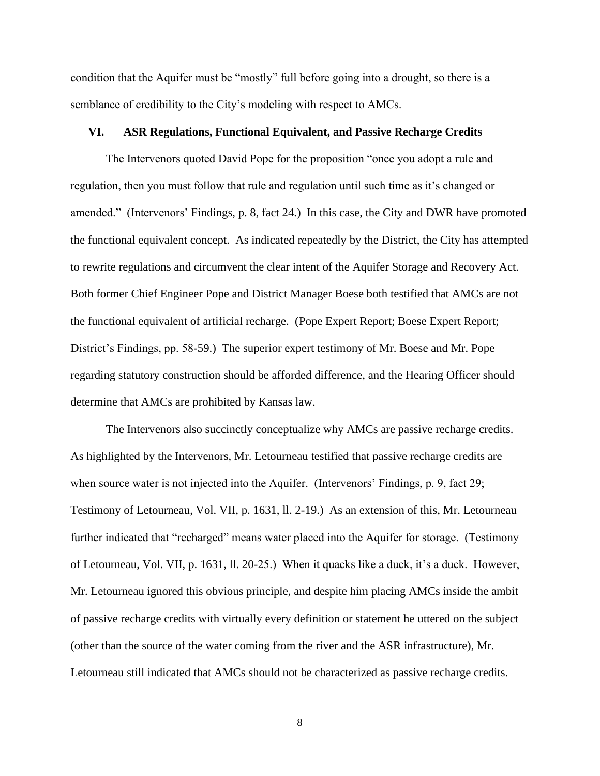condition that the Aquifer must be "mostly" full before going into a drought, so there is a semblance of credibility to the City's modeling with respect to AMCs.

### **VI. ASR Regulations, Functional Equivalent, and Passive Recharge Credits**

The Intervenors quoted David Pope for the proposition "once you adopt a rule and regulation, then you must follow that rule and regulation until such time as it's changed or amended." (Intervenors' Findings, p. 8, fact 24.) In this case, the City and DWR have promoted the functional equivalent concept. As indicated repeatedly by the District, the City has attempted to rewrite regulations and circumvent the clear intent of the Aquifer Storage and Recovery Act. Both former Chief Engineer Pope and District Manager Boese both testified that AMCs are not the functional equivalent of artificial recharge. (Pope Expert Report; Boese Expert Report; District's Findings, pp. 58-59.) The superior expert testimony of Mr. Boese and Mr. Pope regarding statutory construction should be afforded difference, and the Hearing Officer should determine that AMCs are prohibited by Kansas law.

The Intervenors also succinctly conceptualize why AMCs are passive recharge credits. As highlighted by the Intervenors, Mr. Letourneau testified that passive recharge credits are when source water is not injected into the Aquifer. (Intervenors' Findings, p. 9, fact 29; Testimony of Letourneau, Vol. VII, p. 1631, ll. 2-19.) As an extension of this, Mr. Letourneau further indicated that "recharged" means water placed into the Aquifer for storage. (Testimony of Letourneau, Vol. VII, p. 1631, ll. 20-25.) When it quacks like a duck, it's a duck. However, Mr. Letourneau ignored this obvious principle, and despite him placing AMCs inside the ambit of passive recharge credits with virtually every definition or statement he uttered on the subject (other than the source of the water coming from the river and the ASR infrastructure), Mr. Letourneau still indicated that AMCs should not be characterized as passive recharge credits.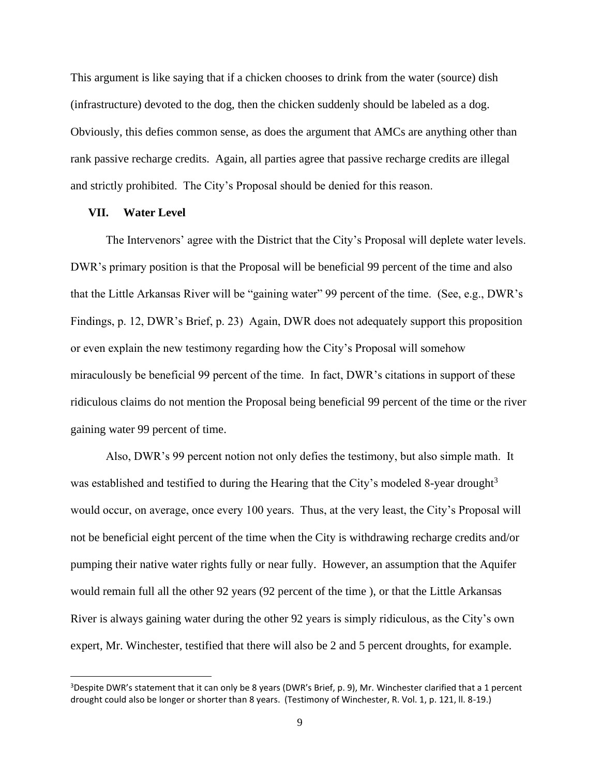This argument is like saying that if a chicken chooses to drink from the water (source) dish (infrastructure) devoted to the dog, then the chicken suddenly should be labeled as a dog. Obviously, this defies common sense, as does the argument that AMCs are anything other than rank passive recharge credits. Again, all parties agree that passive recharge credits are illegal and strictly prohibited. The City's Proposal should be denied for this reason.

### **VII. Water Level**

The Intervenors' agree with the District that the City's Proposal will deplete water levels. DWR's primary position is that the Proposal will be beneficial 99 percent of the time and also that the Little Arkansas River will be "gaining water" 99 percent of the time. (See, e.g., DWR's Findings, p. 12, DWR's Brief, p. 23) Again, DWR does not adequately support this proposition or even explain the new testimony regarding how the City's Proposal will somehow miraculously be beneficial 99 percent of the time. In fact, DWR's citations in support of these ridiculous claims do not mention the Proposal being beneficial 99 percent of the time or the river gaining water 99 percent of time.

Also, DWR's 99 percent notion not only defies the testimony, but also simple math. It was established and testified to during the Hearing that the City's modeled 8-year drought<sup>3</sup> would occur, on average, once every 100 years. Thus, at the very least, the City's Proposal will not be beneficial eight percent of the time when the City is withdrawing recharge credits and/or pumping their native water rights fully or near fully. However, an assumption that the Aquifer would remain full all the other 92 years (92 percent of the time ), or that the Little Arkansas River is always gaining water during the other 92 years is simply ridiculous, as the City's own expert, Mr. Winchester, testified that there will also be 2 and 5 percent droughts, for example.

<sup>&</sup>lt;sup>3</sup>Despite DWR's statement that it can only be 8 years (DWR's Brief, p. 9), Mr. Winchester clarified that a 1 percent drought could also be longer or shorter than 8 years. (Testimony of Winchester, R. Vol. 1, p. 121, ll. 8-19.)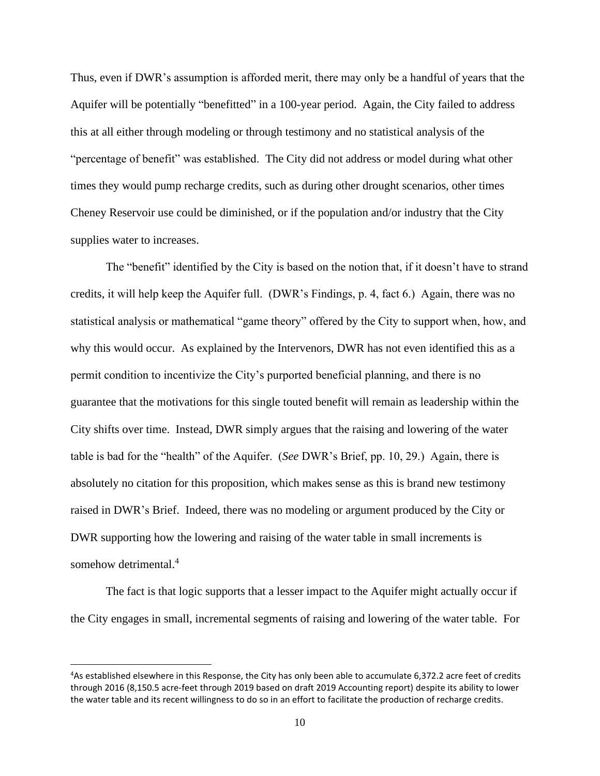Thus, even if DWR's assumption is afforded merit, there may only be a handful of years that the Aquifer will be potentially "benefitted" in a 100-year period. Again, the City failed to address this at all either through modeling or through testimony and no statistical analysis of the "percentage of benefit" was established. The City did not address or model during what other times they would pump recharge credits, such as during other drought scenarios, other times Cheney Reservoir use could be diminished, or if the population and/or industry that the City supplies water to increases.

The "benefit" identified by the City is based on the notion that, if it doesn't have to strand credits, it will help keep the Aquifer full. (DWR's Findings, p. 4, fact 6.) Again, there was no statistical analysis or mathematical "game theory" offered by the City to support when, how, and why this would occur. As explained by the Intervenors, DWR has not even identified this as a permit condition to incentivize the City's purported beneficial planning, and there is no guarantee that the motivations for this single touted benefit will remain as leadership within the City shifts over time. Instead, DWR simply argues that the raising and lowering of the water table is bad for the "health" of the Aquifer. (*See* DWR's Brief, pp. 10, 29.) Again, there is absolutely no citation for this proposition, which makes sense as this is brand new testimony raised in DWR's Brief. Indeed, there was no modeling or argument produced by the City or DWR supporting how the lowering and raising of the water table in small increments is somehow detrimental.<sup>4</sup>

The fact is that logic supports that a lesser impact to the Aquifer might actually occur if the City engages in small, incremental segments of raising and lowering of the water table. For

<sup>4</sup>As established elsewhere in this Response, the City has only been able to accumulate 6,372.2 acre feet of credits through 2016 (8,150.5 acre-feet through 2019 based on draft 2019 Accounting report) despite its ability to lower the water table and its recent willingness to do so in an effort to facilitate the production of recharge credits.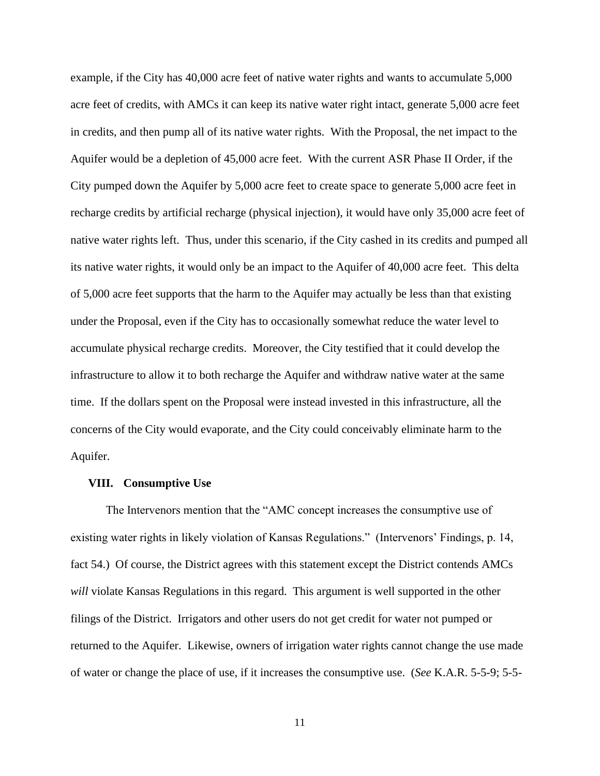example, if the City has 40,000 acre feet of native water rights and wants to accumulate 5,000 acre feet of credits, with AMCs it can keep its native water right intact, generate 5,000 acre feet in credits, and then pump all of its native water rights. With the Proposal, the net impact to the Aquifer would be a depletion of 45,000 acre feet. With the current ASR Phase II Order, if the City pumped down the Aquifer by 5,000 acre feet to create space to generate 5,000 acre feet in recharge credits by artificial recharge (physical injection), it would have only 35,000 acre feet of native water rights left. Thus, under this scenario, if the City cashed in its credits and pumped all its native water rights, it would only be an impact to the Aquifer of 40,000 acre feet. This delta of 5,000 acre feet supports that the harm to the Aquifer may actually be less than that existing under the Proposal, even if the City has to occasionally somewhat reduce the water level to accumulate physical recharge credits. Moreover, the City testified that it could develop the infrastructure to allow it to both recharge the Aquifer and withdraw native water at the same time. If the dollars spent on the Proposal were instead invested in this infrastructure, all the concerns of the City would evaporate, and the City could conceivably eliminate harm to the Aquifer.

#### **VIII. Consumptive Use**

The Intervenors mention that the "AMC concept increases the consumptive use of existing water rights in likely violation of Kansas Regulations." (Intervenors' Findings, p. 14, fact 54.) Of course, the District agrees with this statement except the District contends AMCs *will* violate Kansas Regulations in this regard. This argument is well supported in the other filings of the District. Irrigators and other users do not get credit for water not pumped or returned to the Aquifer. Likewise, owners of irrigation water rights cannot change the use made of water or change the place of use, if it increases the consumptive use. (*See* K.A.R. 5-5-9; 5-5-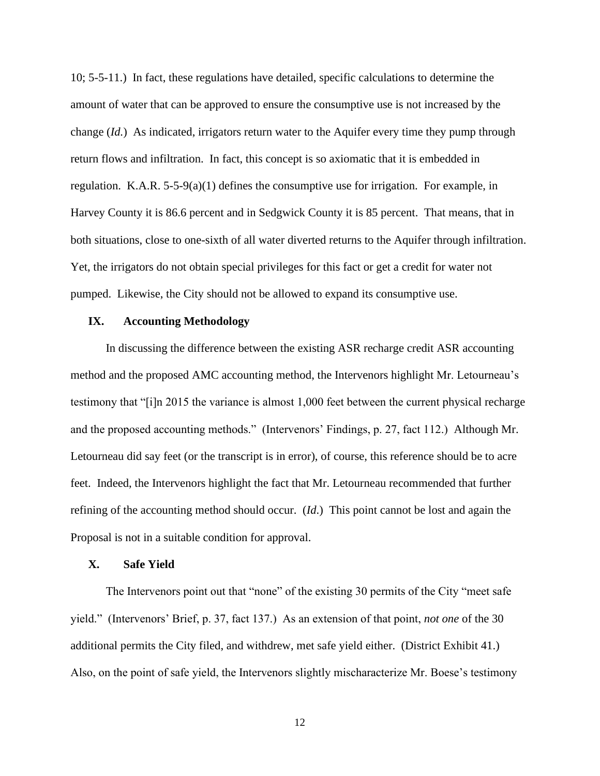10; 5-5-11.) In fact, these regulations have detailed, specific calculations to determine the amount of water that can be approved to ensure the consumptive use is not increased by the change (*Id.*) As indicated, irrigators return water to the Aquifer every time they pump through return flows and infiltration. In fact, this concept is so axiomatic that it is embedded in regulation. K.A.R.  $5-5-9(a)(1)$  defines the consumptive use for irrigation. For example, in Harvey County it is 86.6 percent and in Sedgwick County it is 85 percent. That means, that in both situations, close to one-sixth of all water diverted returns to the Aquifer through infiltration. Yet, the irrigators do not obtain special privileges for this fact or get a credit for water not pumped. Likewise, the City should not be allowed to expand its consumptive use.

# **IX. Accounting Methodology**

In discussing the difference between the existing ASR recharge credit ASR accounting method and the proposed AMC accounting method, the Intervenors highlight Mr. Letourneau's testimony that "[i]n 2015 the variance is almost 1,000 feet between the current physical recharge and the proposed accounting methods." (Intervenors' Findings, p. 27, fact 112.) Although Mr. Letourneau did say feet (or the transcript is in error), of course, this reference should be to acre feet. Indeed, the Intervenors highlight the fact that Mr. Letourneau recommended that further refining of the accounting method should occur. (*Id*.) This point cannot be lost and again the Proposal is not in a suitable condition for approval.

### **X. Safe Yield**

The Intervenors point out that "none" of the existing 30 permits of the City "meet safe yield." (Intervenors' Brief, p. 37, fact 137.) As an extension of that point, *not one* of the 30 additional permits the City filed, and withdrew, met safe yield either. (District Exhibit 41.) Also, on the point of safe yield, the Intervenors slightly mischaracterize Mr. Boese's testimony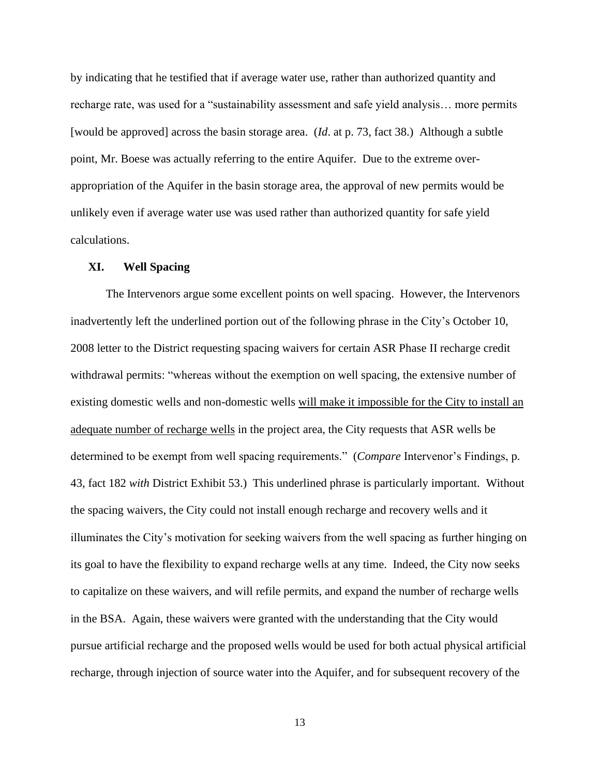by indicating that he testified that if average water use, rather than authorized quantity and recharge rate, was used for a "sustainability assessment and safe yield analysis… more permits [would be approved] across the basin storage area. (*Id*. at p. 73, fact 38.) Although a subtle point, Mr. Boese was actually referring to the entire Aquifer. Due to the extreme overappropriation of the Aquifer in the basin storage area, the approval of new permits would be unlikely even if average water use was used rather than authorized quantity for safe yield calculations.

### **XI. Well Spacing**

The Intervenors argue some excellent points on well spacing. However, the Intervenors inadvertently left the underlined portion out of the following phrase in the City's October 10, 2008 letter to the District requesting spacing waivers for certain ASR Phase II recharge credit withdrawal permits: "whereas without the exemption on well spacing, the extensive number of existing domestic wells and non-domestic wells will make it impossible for the City to install an adequate number of recharge wells in the project area, the City requests that ASR wells be determined to be exempt from well spacing requirements." (*Compare* Intervenor's Findings, p. 43, fact 182 *with* District Exhibit 53.) This underlined phrase is particularly important. Without the spacing waivers, the City could not install enough recharge and recovery wells and it illuminates the City's motivation for seeking waivers from the well spacing as further hinging on its goal to have the flexibility to expand recharge wells at any time. Indeed, the City now seeks to capitalize on these waivers, and will refile permits, and expand the number of recharge wells in the BSA. Again, these waivers were granted with the understanding that the City would pursue artificial recharge and the proposed wells would be used for both actual physical artificial recharge, through injection of source water into the Aquifer, and for subsequent recovery of the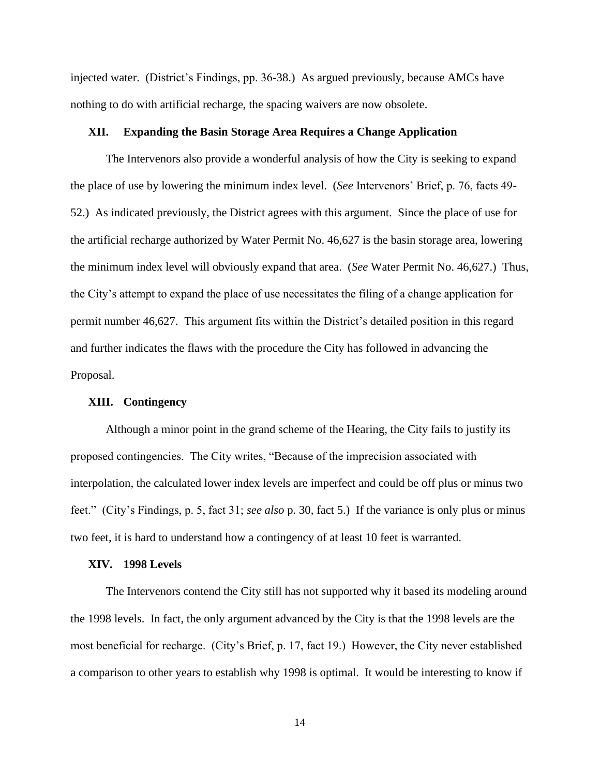injected water. (District's Findings, pp. 36-38.) As argued previously, because AMCs have nothing to do with artificial recharge, the spacing waivers are now obsolete.

### **XII. Expanding the Basin Storage Area Requires a Change Application**

The Intervenors also provide a wonderful analysis of how the City is seeking to expand the place of use by lowering the minimum index level. (*See* Intervenors' Brief, p. 76, facts 49- 52.) As indicated previously, the District agrees with this argument. Since the place of use for the artificial recharge authorized by Water Permit No. 46,627 is the basin storage area, lowering the minimum index level will obviously expand that area. (*See* Water Permit No. 46,627.) Thus, the City's attempt to expand the place of use necessitates the filing of a change application for permit number 46,627. This argument fits within the District's detailed position in this regard and further indicates the flaws with the procedure the City has followed in advancing the Proposal.

# **XIII. Contingency**

Although a minor point in the grand scheme of the Hearing, the City fails to justify its proposed contingencies. The City writes, "Because of the imprecision associated with interpolation, the calculated lower index levels are imperfect and could be off plus or minus two feet." (City's Findings, p. 5, fact 31; *see also* p. 30, fact 5.) If the variance is only plus or minus two feet, it is hard to understand how a contingency of at least 10 feet is warranted.

#### **XIV. 1998 Levels**

The Intervenors contend the City still has not supported why it based its modeling around the 1998 levels. In fact, the only argument advanced by the City is that the 1998 levels are the most beneficial for recharge. (City's Brief, p. 17, fact 19.) However, the City never established a comparison to other years to establish why 1998 is optimal. It would be interesting to know if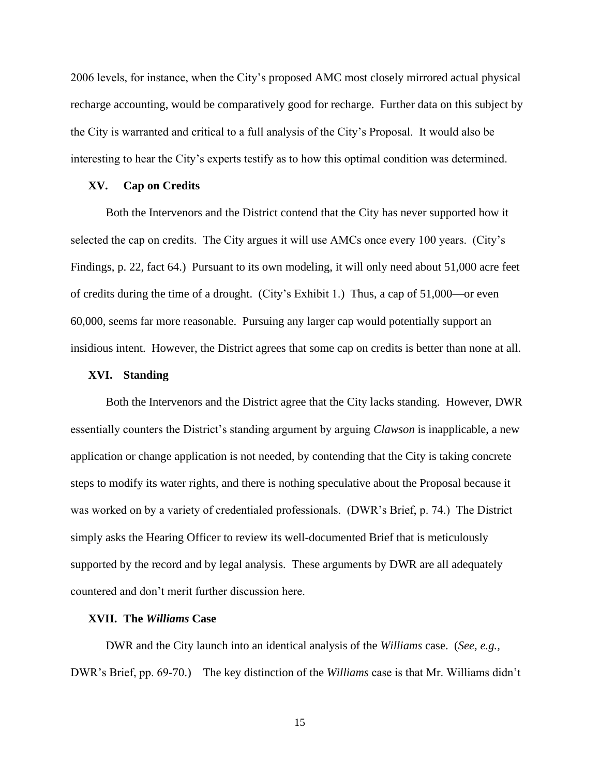2006 levels, for instance, when the City's proposed AMC most closely mirrored actual physical recharge accounting, would be comparatively good for recharge. Further data on this subject by the City is warranted and critical to a full analysis of the City's Proposal. It would also be interesting to hear the City's experts testify as to how this optimal condition was determined.

### **XV. Cap on Credits**

Both the Intervenors and the District contend that the City has never supported how it selected the cap on credits. The City argues it will use AMCs once every 100 years. (City's Findings, p. 22, fact 64.) Pursuant to its own modeling, it will only need about 51,000 acre feet of credits during the time of a drought. (City's Exhibit 1.) Thus, a cap of 51,000—or even 60,000, seems far more reasonable. Pursuing any larger cap would potentially support an insidious intent. However, the District agrees that some cap on credits is better than none at all.

#### **XVI. Standing**

Both the Intervenors and the District agree that the City lacks standing. However, DWR essentially counters the District's standing argument by arguing *Clawson* is inapplicable, a new application or change application is not needed, by contending that the City is taking concrete steps to modify its water rights, and there is nothing speculative about the Proposal because it was worked on by a variety of credentialed professionals. (DWR's Brief, p. 74.) The District simply asks the Hearing Officer to review its well-documented Brief that is meticulously supported by the record and by legal analysis. These arguments by DWR are all adequately countered and don't merit further discussion here.

#### **XVII. The** *Williams* **Case**

DWR and the City launch into an identical analysis of the *Williams* case. (*See, e.g.,* DWR's Brief, pp. 69-70.) The key distinction of the *Williams* case is that Mr. Williams didn't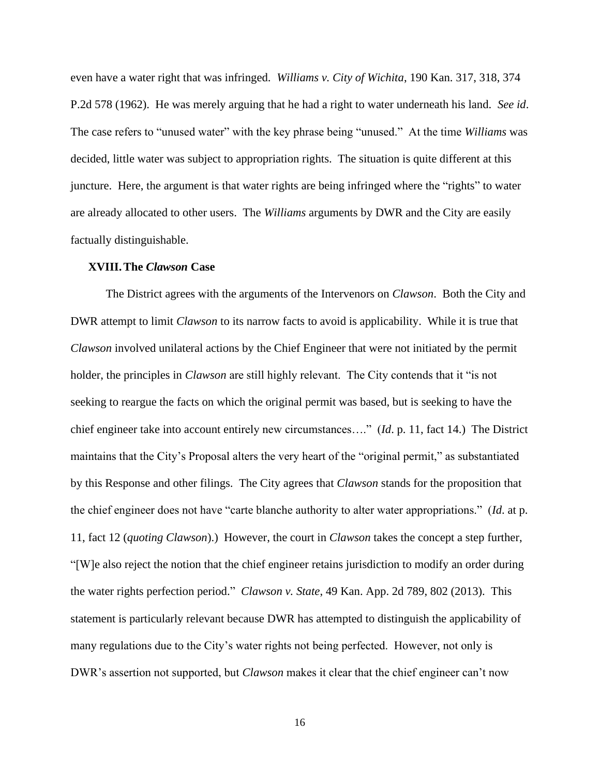even have a water right that was infringed. *Williams v. City of Wichita*, 190 Kan. 317, 318, 374 P.2d 578 (1962). He was merely arguing that he had a right to water underneath his land. *See id*. The case refers to "unused water" with the key phrase being "unused." At the time *Williams* was decided, little water was subject to appropriation rights. The situation is quite different at this juncture. Here, the argument is that water rights are being infringed where the "rights" to water are already allocated to other users. The *Williams* arguments by DWR and the City are easily factually distinguishable.

#### **XVIII.The** *Clawson* **Case**

The District agrees with the arguments of the Intervenors on *Clawson*. Both the City and DWR attempt to limit *Clawson* to its narrow facts to avoid is applicability. While it is true that *Clawson* involved unilateral actions by the Chief Engineer that were not initiated by the permit holder, the principles in *Clawson* are still highly relevant. The City contends that it "is not seeking to reargue the facts on which the original permit was based, but is seeking to have the chief engineer take into account entirely new circumstances…." (*Id*. p. 11, fact 14.) The District maintains that the City's Proposal alters the very heart of the "original permit," as substantiated by this Response and other filings. The City agrees that *Clawson* stands for the proposition that the chief engineer does not have "carte blanche authority to alter water appropriations." (*Id*. at p. 11, fact 12 (*quoting Clawson*).) However, the court in *Clawson* takes the concept a step further, "[W]e also reject the notion that the chief engineer retains jurisdiction to modify an order during the water rights perfection period." *Clawson v. State*, 49 Kan. App. 2d 789, 802 (2013). This statement is particularly relevant because DWR has attempted to distinguish the applicability of many regulations due to the City's water rights not being perfected. However, not only is DWR's assertion not supported, but *Clawson* makes it clear that the chief engineer can't now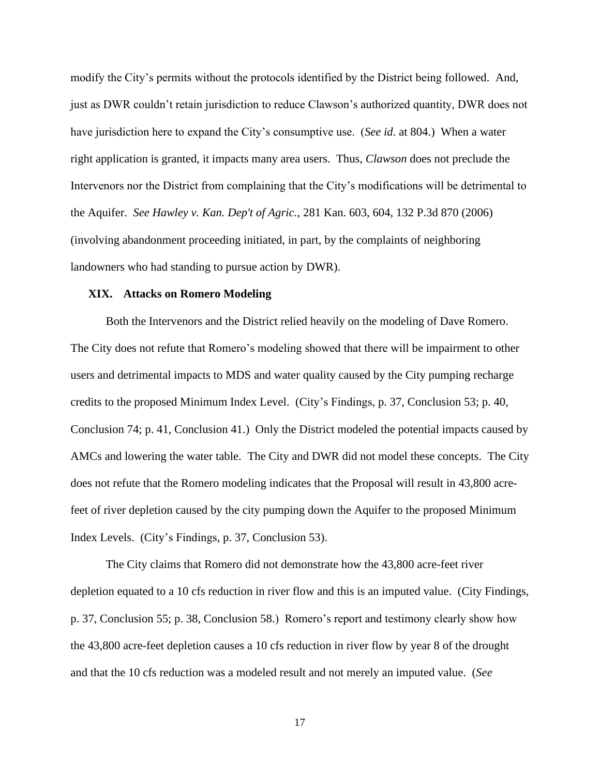modify the City's permits without the protocols identified by the District being followed. And, just as DWR couldn't retain jurisdiction to reduce Clawson's authorized quantity, DWR does not have jurisdiction here to expand the City's consumptive use. (*See id*. at 804.) When a water right application is granted, it impacts many area users. Thus, *Clawson* does not preclude the Intervenors nor the District from complaining that the City's modifications will be detrimental to the Aquifer. *See Hawley v. Kan. Dep't of Agric.*, 281 Kan. 603, 604, 132 P.3d 870 (2006) (involving abandonment proceeding initiated, in part, by the complaints of neighboring landowners who had standing to pursue action by DWR).

#### **XIX. Attacks on Romero Modeling**

Both the Intervenors and the District relied heavily on the modeling of Dave Romero. The City does not refute that Romero's modeling showed that there will be impairment to other users and detrimental impacts to MDS and water quality caused by the City pumping recharge credits to the proposed Minimum Index Level. (City's Findings, p. 37, Conclusion 53; p. 40, Conclusion 74; p. 41, Conclusion 41.) Only the District modeled the potential impacts caused by AMCs and lowering the water table. The City and DWR did not model these concepts. The City does not refute that the Romero modeling indicates that the Proposal will result in 43,800 acrefeet of river depletion caused by the city pumping down the Aquifer to the proposed Minimum Index Levels. (City's Findings, p. 37, Conclusion 53).

The City claims that Romero did not demonstrate how the 43,800 acre-feet river depletion equated to a 10 cfs reduction in river flow and this is an imputed value. (City Findings, p. 37, Conclusion 55; p. 38, Conclusion 58.) Romero's report and testimony clearly show how the 43,800 acre-feet depletion causes a 10 cfs reduction in river flow by year 8 of the drought and that the 10 cfs reduction was a modeled result and not merely an imputed value. (*See*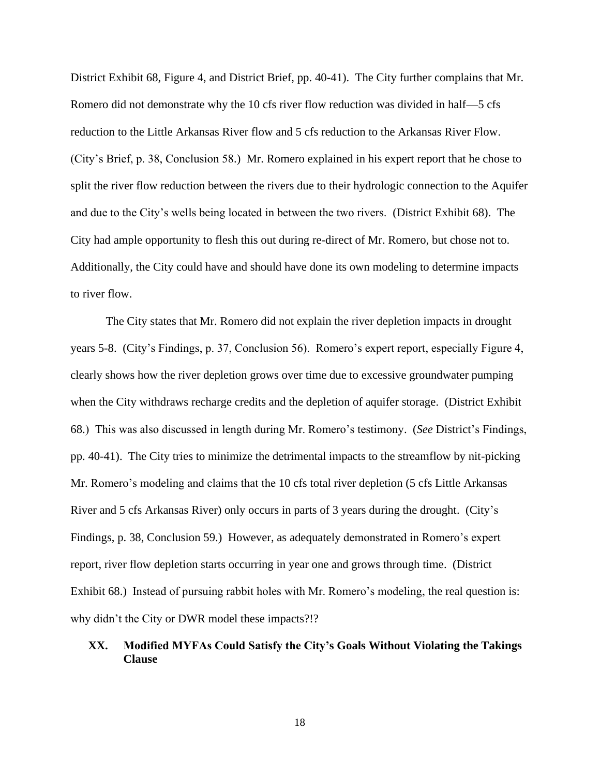District Exhibit 68, Figure 4, and District Brief, pp. 40-41). The City further complains that Mr. Romero did not demonstrate why the 10 cfs river flow reduction was divided in half—5 cfs reduction to the Little Arkansas River flow and 5 cfs reduction to the Arkansas River Flow. (City's Brief, p. 38, Conclusion 58.) Mr. Romero explained in his expert report that he chose to split the river flow reduction between the rivers due to their hydrologic connection to the Aquifer and due to the City's wells being located in between the two rivers. (District Exhibit 68). The City had ample opportunity to flesh this out during re-direct of Mr. Romero, but chose not to. Additionally, the City could have and should have done its own modeling to determine impacts to river flow.

The City states that Mr. Romero did not explain the river depletion impacts in drought years 5-8. (City's Findings, p. 37, Conclusion 56). Romero's expert report, especially Figure 4, clearly shows how the river depletion grows over time due to excessive groundwater pumping when the City withdraws recharge credits and the depletion of aquifer storage. (District Exhibit 68.) This was also discussed in length during Mr. Romero's testimony. (*See* District's Findings, pp. 40-41). The City tries to minimize the detrimental impacts to the streamflow by nit-picking Mr. Romero's modeling and claims that the 10 cfs total river depletion (5 cfs Little Arkansas River and 5 cfs Arkansas River) only occurs in parts of 3 years during the drought. (City's Findings, p. 38, Conclusion 59.) However, as adequately demonstrated in Romero's expert report, river flow depletion starts occurring in year one and grows through time. (District Exhibit 68.) Instead of pursuing rabbit holes with Mr. Romero's modeling, the real question is: why didn't the City or DWR model these impacts?!?

# **XX. Modified MYFAs Could Satisfy the City's Goals Without Violating the Takings Clause**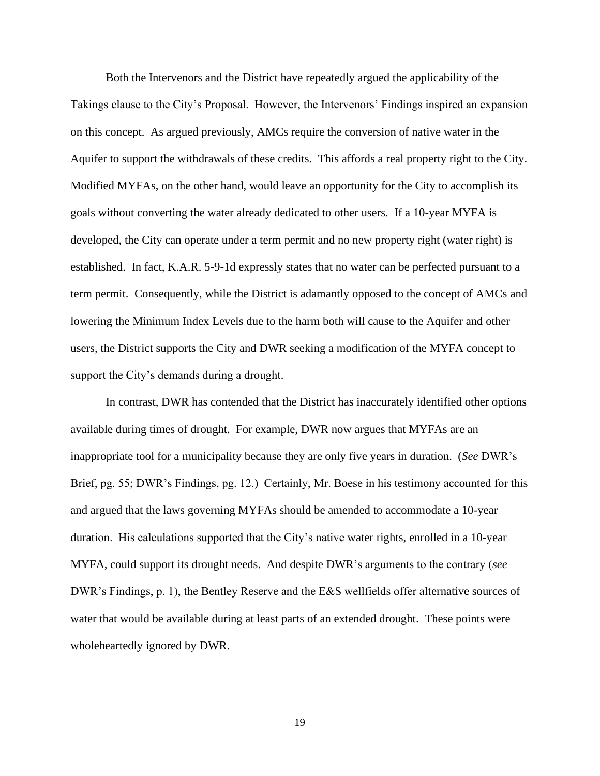Both the Intervenors and the District have repeatedly argued the applicability of the Takings clause to the City's Proposal. However, the Intervenors' Findings inspired an expansion on this concept. As argued previously, AMCs require the conversion of native water in the Aquifer to support the withdrawals of these credits. This affords a real property right to the City. Modified MYFAs, on the other hand, would leave an opportunity for the City to accomplish its goals without converting the water already dedicated to other users. If a 10-year MYFA is developed, the City can operate under a term permit and no new property right (water right) is established. In fact, K.A.R. 5-9-1d expressly states that no water can be perfected pursuant to a term permit. Consequently, while the District is adamantly opposed to the concept of AMCs and lowering the Minimum Index Levels due to the harm both will cause to the Aquifer and other users, the District supports the City and DWR seeking a modification of the MYFA concept to support the City's demands during a drought.

In contrast, DWR has contended that the District has inaccurately identified other options available during times of drought. For example, DWR now argues that MYFAs are an inappropriate tool for a municipality because they are only five years in duration. (*See* DWR's Brief, pg. 55; DWR's Findings, pg. 12.) Certainly, Mr. Boese in his testimony accounted for this and argued that the laws governing MYFAs should be amended to accommodate a 10-year duration. His calculations supported that the City's native water rights, enrolled in a 10-year MYFA, could support its drought needs. And despite DWR's arguments to the contrary (*see* DWR's Findings, p. 1), the Bentley Reserve and the E&S wellfields offer alternative sources of water that would be available during at least parts of an extended drought. These points were wholeheartedly ignored by DWR.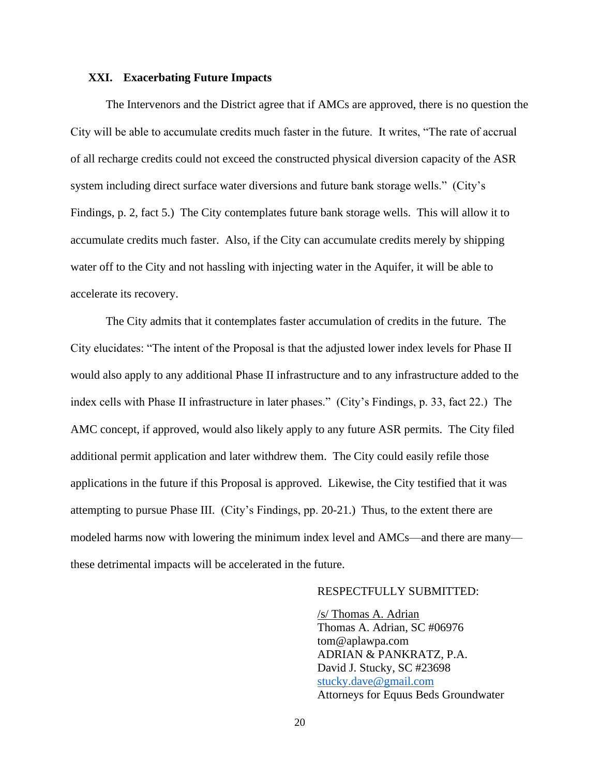# **XXI. Exacerbating Future Impacts**

The Intervenors and the District agree that if AMCs are approved, there is no question the City will be able to accumulate credits much faster in the future. It writes, "The rate of accrual of all recharge credits could not exceed the constructed physical diversion capacity of the ASR system including direct surface water diversions and future bank storage wells." (City's Findings, p. 2, fact 5.) The City contemplates future bank storage wells. This will allow it to accumulate credits much faster. Also, if the City can accumulate credits merely by shipping water off to the City and not hassling with injecting water in the Aquifer, it will be able to accelerate its recovery.

The City admits that it contemplates faster accumulation of credits in the future. The City elucidates: "The intent of the Proposal is that the adjusted lower index levels for Phase II would also apply to any additional Phase II infrastructure and to any infrastructure added to the index cells with Phase II infrastructure in later phases." (City's Findings, p. 33, fact 22.) The AMC concept, if approved, would also likely apply to any future ASR permits. The City filed additional permit application and later withdrew them. The City could easily refile those applications in the future if this Proposal is approved. Likewise, the City testified that it was attempting to pursue Phase III. (City's Findings, pp. 20-21.) Thus, to the extent there are modeled harms now with lowering the minimum index level and AMCs—and there are many these detrimental impacts will be accelerated in the future.

# RESPECTFULLY SUBMITTED:

/s/ Thomas A. Adrian Thomas A. Adrian, SC #06976 tom@aplawpa.com ADRIAN & PANKRATZ, P.A. David J. Stucky, SC #23698 [stucky.dave@gmail.com](mailto:dave@aplawpa.com) Attorneys for Equus Beds Groundwater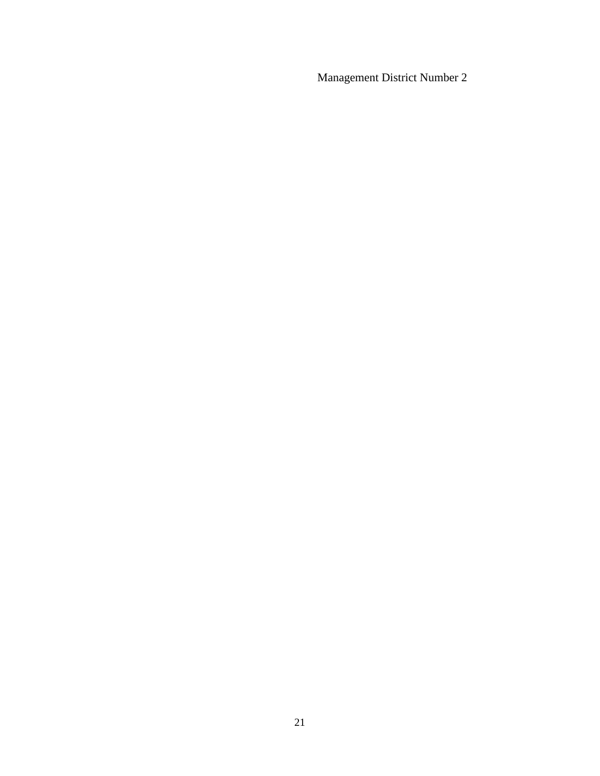Management District Number 2